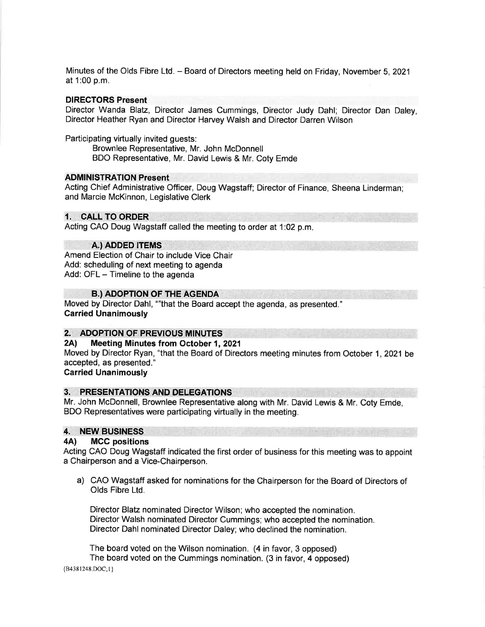Minutes of the Olds Fibre Ltd. - Board of Directors meeting held on Friday, November 5,2021 at 1:00 p.m.

#### DIRECTORS Present

Director Wanda Blatz, Director James Cummings, Director Judy Dahl; Director Dan Daley, Director Heather Ryan and Director Harvey Walsh and Director Darren Wilson

Participating virtually invited guests:

Brownlee Representative, Mr. John McDonnell BDO Representative, Mr. David Lewis & Mr. Coty Emde

# **ADMINISTRATION Present**

Acting Chief Administrative Officer, Doug Wagstaff; Director of Finance, Sheena Linderman; and Marcie McKinnon, Legislative Clerk

### 1. CALL TO ORDER

Acting CAO Doug Wagstaff called the meeting to order at 1:02 p.m

#### A.) ADDED ITEMS

Amend Election of Chair to include Vice Chair Add: scheduling of next meeting to agenda Add: OFL - Timeline to the agenda

### **B.) ADOPTION OF THE AGENDA**

Moved by Director Dahl, ""that the Board accept the agenda, as presented." Carried Unanimously

# 2. ADOPTION OF PREVIOUS MINUTES<br>2A) Meeting Minutes from October 1, 2021

Moved by Director Ryan, "that the Board of Directors meeting minutes from October 1,2021 be accepted, as presented."

# Carried Unanimously

# 3. PRESENTATIONS AND DELEGATIONS

Mr. John McDonnell, Brownlee Representative along with Mr. David Lewis & Mr. Coty Emde, BDO Representatives were participating virtually in the meeting.

# 4. NEW BUSINESS

#### 4A) MCC positions

Acting CAO Doug Wagstaff indicated the first order of business for this meeting was to appoint a Chairperson and a Vice-Chairperson.

a) CAO Wagstaff asked for nominations for the Chairperson for the Board of Directors of Olds Fibre Ltd.

Director Blatz nominated Director Wilson; who accepted the nomination. Director Walsh nominated Director Cummings; who accepted the nomination. Director Dahl nominated Director Daley; who declined the nomination.

The board voted on the Wilson nomination. (4 in favor, 3 opposed) The board voted on the Cummings nomination. (3 in favor, 4 opposed)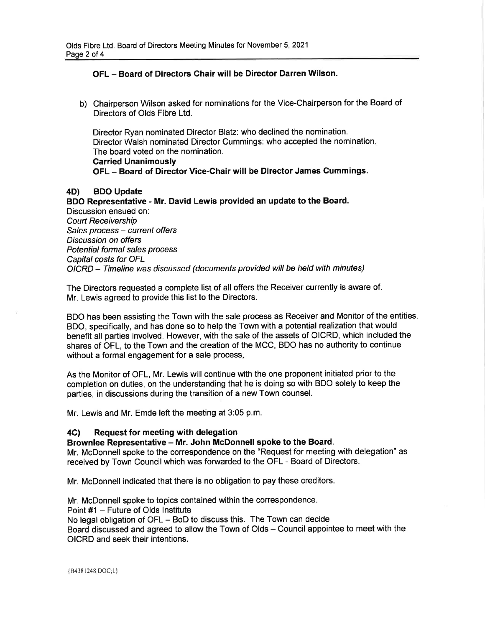# OFL - Board of Directors Chair will be Director Darren Wilson.

b) Chairperson Wilson asked for nominations for the Vice-Chairperson for the Board of Directors of Olds Fibre Ltd.

Director Ryan nominated Director Blafz: who declined the nomination. Director Walsh nominated Director Cummings: who accepted the nomination The board voted on the nomination. Carried Unanimously OFL - Board of Director Vice-Chair will be Director James Cummings.

### 4D) BDO Update

BDO Representative - Mr. David Lewis provided an update to the Board. Discussion ensued on: Court Receivership Sales process - current offers Discussion on offers Potential formal sales process Capital costs for OFL OICRD - Timeline was discussed (documents provided will be held with minutes)

The Directors requested a complete list of all offers the Receiver currently is aware of. Mr. Lewis agreed to provide this list to the Directors.

BDO has been assisting the Town with the sale process as Receiver and Monitor of the entities. BDO, specifically, and has done so to help the Town with a potential realization that would benefit all parties involved. However, with the sale of the assets of OICRD, which included the shares of OFL, to the Town and the creation of the MCC, BDO has no authority to continue without a formal engagement for a sale process.

As the Monitor of OFL, Mr. Lewis will continue with the one proponent initiated prior to the completion on duties, on the understanding that he is doing so with BDO solely to keep the parties, in discussions during the transition of a new Town counsel.

Mr. Lewis and Mr. Emde left the meeting at 3:05 p.m.

# 4C) Request for meeting with delegation

# Brownlee Representative - Mr. John McDonnell spoke to the Board.

Mr. McDonnell spoke to the correspondence on the "Request for meeting with delegation" as received by Town Council which was forwarded to the OFL - Board of Directors.

Mr. McDonnell indicated that there is no obligation to pay these creditors.

Mr. McDonnell spoke to topics contained within the correspondence. Point #1 - Future of Olds lnstitute No legal obligation of OFL - BoD to discuss this. The Town can decide Board discussed and agreed to allow the Town of Olds – Council appointee to meet with the OICRD and seek their intentions.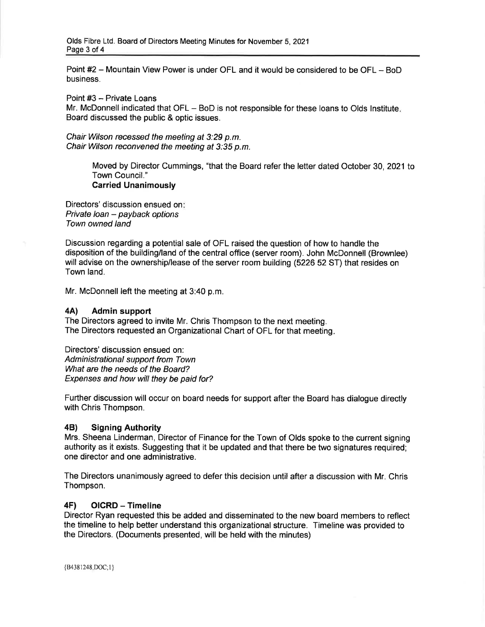Point #2 - Mountain View Power is under OFL and it would be considered to be OFL - BoD business.

Point #3 - Private Loans

Mr. McDonnell indicated that OFL - BoD is not responsible for these loans to Olds Institute. Board discussed the public & optic issues.

Chair Wilson recessed the meeting at 3:29 p.m. Chair Wilson reconvened the meeting at 3:35 p.m.

> Moved by Director Cummings, "that the Board refer the letter dated October 30, 2021 to Town Council." Carried Unanimously

Directors' discussion ensued on: Private loan - payback options Town owned land

Discussion regarding a potential sale of OFL raised the question of how to handle the disposition of the building/land of the central office (server room). John McDonnell (Brownlee) will advise on the ownership/lease of the server room building (5226 52 ST) that resides on Town land.

Mr. McDonnell left the meeting at 3:40 p.m.

#### 4A) Admin support

The Directors agreed to invite Mr. Chris Thompson to the next meeting. The Directors requested an Organizational Chart of OFL for that meeting

Directors' discussion ensued on: Administrational support from Town What are the needs of the Board? Expenses and how will they be paid for?

Further discussion will occur on board needs for support after the Board has dialogue directly with Chris Thompson.

#### 48) Signing Authority

Mrs. Sheena Linderman, Director of Finance for the Town of Olds spoke to the current signing authority as it exists. Suggesting that it be updated and that there be two signatures required; one director and one administrative.

The Directors unanimously agreed to defer this decision until after a discussion with Mr. Chris Thompson.

# 4F) OICRD - Timeline

Director Ryan requested this be added and disseminated to the new board members to reflect the timeline to help better understand this organizational structure. Timeline was provided to the Directors. (Documents presented, will be held with the minutes)